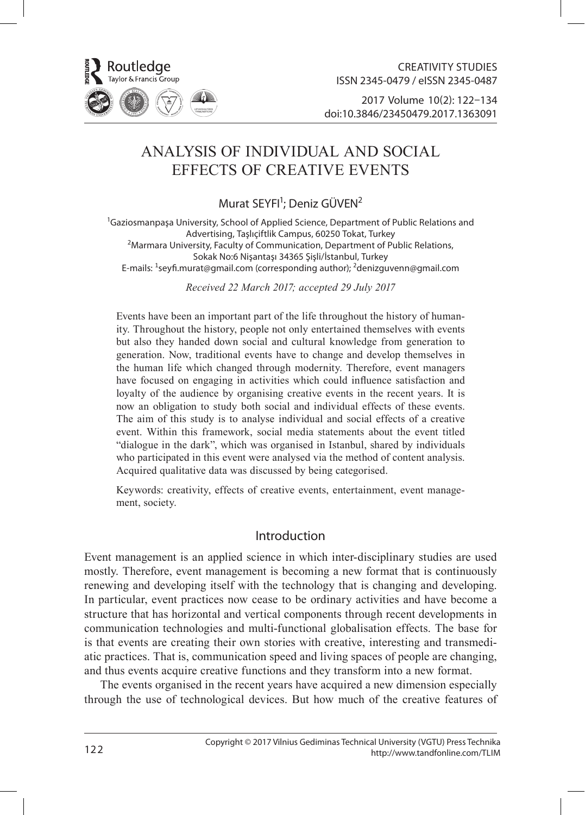

2017 Volume 10(2): 122–134 doi:10.3846/23450479.2017.1363091

# ANALYSIS OF INDIVIDUAL AND SOCIAL EFFECTS OF CREATIVE EVENTS

Murat SEYFI<sup>1</sup>; Deniz GÜVEN<sup>2</sup>

<sup>1</sup>Gaziosmanpaşa University, School of Applied Science, Department of Public Relations and Advertising, Taşlıçiftlik Campus, 60250 Tokat, Turkey <sup>2</sup>Marmara University, Faculty of Communication, Department of Public Relations, Sokak No:6 Nişantaşı 34365 Şişli/İstanbul, Turkey E-mails: <sup>1</sup>seyfi.murat@gmail.com (corresponding author); <sup>2</sup>denizguvenn@gmail.com

*Received 22 March 2017; accepted 29 July 2017*

Events have been an important part of the life throughout the history of humanity. Throughout the history, people not only entertained themselves with events but also they handed down social and cultural knowledge from generation to generation. Now, traditional events have to change and develop themselves in the human life which changed through modernity. Therefore, event managers have focused on engaging in activities which could influence satisfaction and loyalty of the audience by organising creative events in the recent years. It is now an obligation to study both social and individual effects of these events. The aim of this study is to analyse individual and social effects of a creative event. Within this framework, social media statements about the event titled "dialogue in the dark", which was organised in Istanbul, shared by individuals who participated in this event were analysed via the method of content analysis. Acquired qualitative data was discussed by being categorised.

Keywords: creativity, effects of creative events, entertainment, event management, society.

# Introduction

Event management is an applied science in which inter-disciplinary studies are used mostly. Therefore, event management is becoming a new format that is continuously renewing and developing itself with the technology that is changing and developing. In particular, event practices now cease to be ordinary activities and have become a structure that has horizontal and vertical components through recent developments in communication technologies and multi-functional globalisation effects. The base for is that events are creating their own stories with creative, interesting and transmediatic practices. That is, communication speed and living spaces of people are changing, and thus events acquire creative functions and they transform into a new format.

The events organised in the recent years have acquired a new dimension especially through the use of technological devices. But how much of the creative features of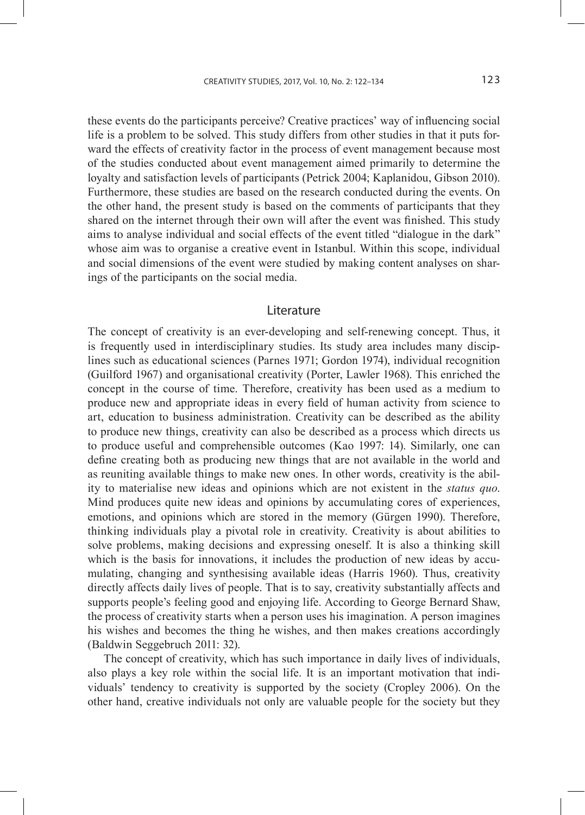these events do the participants perceive? Creative practices' way of influencing social life is a problem to be solved. This study differs from other studies in that it puts forward the effects of creativity factor in the process of event management because most of the studies conducted about event management aimed primarily to determine the loyalty and satisfaction levels of participants (Petrick 2004; Kaplanidou, Gibson 2010). Furthermore, these studies are based on the research conducted during the events. On the other hand, the present study is based on the comments of participants that they shared on the internet through their own will after the event was finished. This study aims to analyse individual and social effects of the event titled "dialogue in the dark" whose aim was to organise a creative event in Istanbul. Within this scope, individual and social dimensions of the event were studied by making content analyses on sharings of the participants on the social media.

#### Literature

The concept of creativity is an ever-developing and self-renewing concept. Thus, it is frequently used in interdisciplinary studies. Its study area includes many disciplines such as educational sciences (Parnes 1971; Gordon 1974), individual recognition (Guilford 1967) and organisational creativity (Porter, Lawler 1968). This enriched the concept in the course of time. Therefore, creativity has been used as a medium to produce new and appropriate ideas in every field of human activity from science to art, education to business administration. Creativity can be described as the ability to produce new things, creativity can also be described as a process which directs us to produce useful and comprehensible outcomes (Kao 1997: 14). Similarly, one can define creating both as producing new things that are not available in the world and as reuniting available things to make new ones. In other words, creativity is the ability to materialise new ideas and opinions which are not existent in the *status quo*. Mind produces quite new ideas and opinions by accumulating cores of experiences, emotions, and opinions which are stored in the memory (Gürgen 1990). Therefore, thinking individuals play a pivotal role in creativity. Creativity is about abilities to solve problems, making decisions and expressing oneself. It is also a thinking skill which is the basis for innovations, it includes the production of new ideas by accumulating, changing and synthesising available ideas (Harris 1960). Thus, creativity directly affects daily lives of people. That is to say, creativity substantially affects and supports people's feeling good and enjoying life. According to George Bernard Shaw, the process of creativity starts when a person uses his imagination. A person imagines his wishes and becomes the thing he wishes, and then makes creations accordingly (Baldwin Seggebruch 2011: 32).

The concept of creativity, which has such importance in daily lives of individuals, also plays a key role within the social life. It is an important motivation that individuals' tendency to creativity is supported by the society (Cropley 2006). On the other hand, creative individuals not only are valuable people for the society but they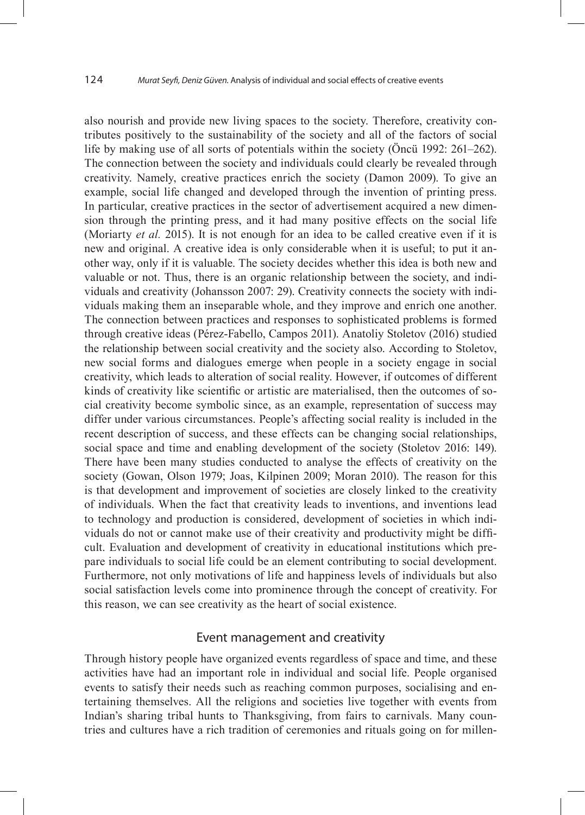also nourish and provide new living spaces to the society. Therefore, creativity contributes positively to the sustainability of the society and all of the factors of social life by making use of all sorts of potentials within the society (Öncü 1992: 261–262). The connection between the society and individuals could clearly be revealed through creativity. Namely, creative practices enrich the society (Damon 2009). To give an example, social life changed and developed through the invention of printing press. In particular, creative practices in the sector of advertisement acquired a new dimension through the printing press, and it had many positive effects on the social life (Moriarty *et al.* 2015). It is not enough for an idea to be called creative even if it is new and original. A creative idea is only considerable when it is useful; to put it another way, only if it is valuable. The society decides whether this idea is both new and valuable or not. Thus, there is an organic relationship between the society, and individuals and creativity (Johansson 2007: 29). Creativity connects the society with individuals making them an inseparable whole, and they improve and enrich one another. The connection between practices and responses to sophisticated problems is formed through creative ideas (Pérez-Fabello, Campos 2011). Anatoliy Stoletov (2016) studied the relationship between social creativity and the society also. According to Stoletov, new social forms and dialogues emerge when people in a society engage in social creativity, which leads to alteration of social reality. However, if outcomes of different kinds of creativity like scientific or artistic are materialised, then the outcomes of social creativity become symbolic since, as an example, representation of success may differ under various circumstances. People's affecting social reality is included in the recent description of success, and these effects can be changing social relationships, social space and time and enabling development of the society (Stoletov 2016: 149). There have been many studies conducted to analyse the effects of creativity on the society (Gowan, Olson 1979; Joas, Kilpinen 2009; Moran 2010). The reason for this is that development and improvement of societies are closely linked to the creativity of individuals. When the fact that creativity leads to inventions, and inventions lead to technology and production is considered, development of societies in which individuals do not or cannot make use of their creativity and productivity might be difficult. Evaluation and development of creativity in educational institutions which prepare individuals to social life could be an element contributing to social development. Furthermore, not only motivations of life and happiness levels of individuals but also social satisfaction levels come into prominence through the concept of creativity. For this reason, we can see creativity as the heart of social existence.

#### Event management and creativity

Through history people have organized events regardless of space and time, and these activities have had an important role in individual and social life. People organised events to satisfy their needs such as reaching common purposes, socialising and entertaining themselves. All the religions and societies live together with events from Indian's sharing tribal hunts to Thanksgiving, from fairs to carnivals. Many countries and cultures have a rich tradition of ceremonies and rituals going on for millen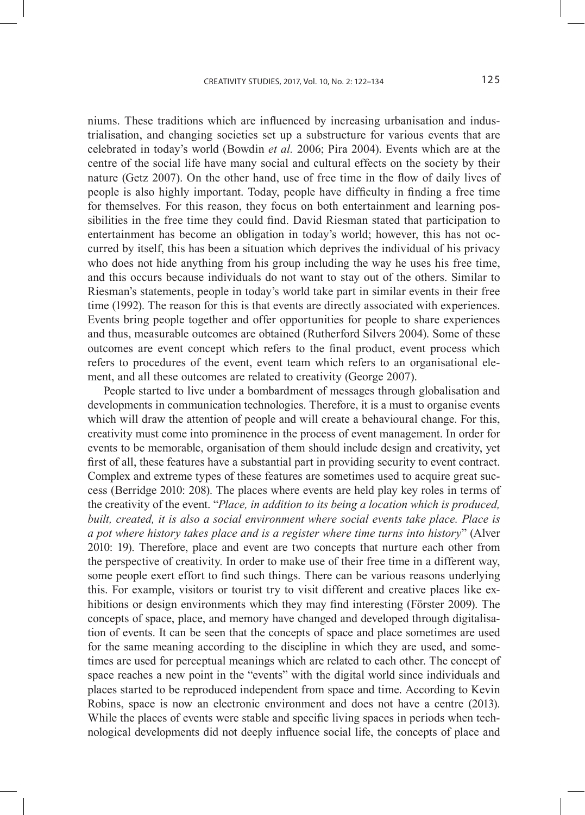niums. These traditions which are influenced by increasing urbanisation and industrialisation, and changing societies set up a substructure for various events that are celebrated in today's world (Bowdin *et al.* 2006; Pira 2004). Events which are at the centre of the social life have many social and cultural effects on the society by their nature (Getz 2007). On the other hand, use of free time in the flow of daily lives of people is also highly important. Today, people have difficulty in finding a free time for themselves. For this reason, they focus on both entertainment and learning possibilities in the free time they could find. David Riesman stated that participation to entertainment has become an obligation in today's world; however, this has not occurred by itself, this has been a situation which deprives the individual of his privacy who does not hide anything from his group including the way he uses his free time, and this occurs because individuals do not want to stay out of the others. Similar to Riesman's statements, people in today's world take part in similar events in their free time (1992). The reason for this is that events are directly associated with experiences. Events bring people together and offer opportunities for people to share experiences and thus, measurable outcomes are obtained (Rutherford Silvers 2004). Some of these outcomes are event concept which refers to the final product, event process which refers to procedures of the event, event team which refers to an organisational element, and all these outcomes are related to creativity (George 2007).

People started to live under a bombardment of messages through globalisation and developments in communication technologies. Therefore, it is a must to organise events which will draw the attention of people and will create a behavioural change. For this, creativity must come into prominence in the process of event management. In order for events to be memorable, organisation of them should include design and creativity, yet first of all, these features have a substantial part in providing security to event contract. Complex and extreme types of these features are sometimes used to acquire great success (Berridge 2010: 208). The places where events are held play key roles in terms of the creativity of the event. "*Place, in addition to its being a location which is produced, built, created, it is also a social environment where social events take place. Place is a pot where history takes place and is a register where time turns into history*" (Alver 2010: 19). Therefore, place and event are two concepts that nurture each other from the perspective of creativity. In order to make use of their free time in a different way, some people exert effort to find such things. There can be various reasons underlying this. For example, visitors or tourist try to visit different and creative places like exhibitions or design environments which they may find interesting (Förster 2009). The concepts of space, place, and memory have changed and developed through digitalisation of events. It can be seen that the concepts of space and place sometimes are used for the same meaning according to the discipline in which they are used, and sometimes are used for perceptual meanings which are related to each other. The concept of space reaches a new point in the "events" with the digital world since individuals and places started to be reproduced independent from space and time. According to Kevin Robins, space is now an electronic environment and does not have a centre (2013). While the places of events were stable and specific living spaces in periods when technological developments did not deeply influence social life, the concepts of place and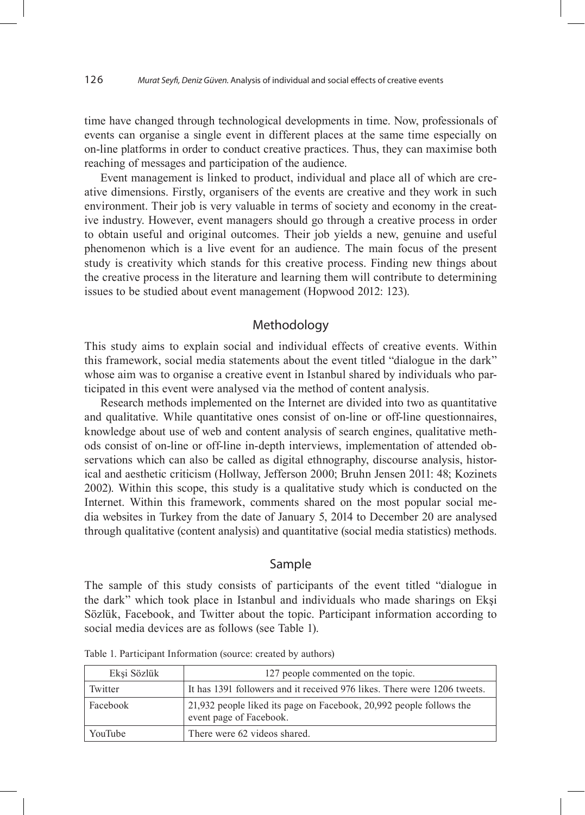time have changed through technological developments in time. Now, professionals of events can organise a single event in different places at the same time especially on on-line platforms in order to conduct creative practices. Thus, they can maximise both reaching of messages and participation of the audience.

Event management is linked to product, individual and place all of which are creative dimensions. Firstly, organisers of the events are creative and they work in such environment. Their job is very valuable in terms of society and economy in the creative industry. However, event managers should go through a creative process in order to obtain useful and original outcomes. Their job yields a new, genuine and useful phenomenon which is a live event for an audience. The main focus of the present study is creativity which stands for this creative process. Finding new things about the creative process in the literature and learning them will contribute to determining issues to be studied about event management (Hopwood 2012: 123).

# Methodology

This study aims to explain social and individual effects of creative events. Within this framework, social media statements about the event titled "dialogue in the dark" whose aim was to organise a creative event in Istanbul shared by individuals who participated in this event were analysed via the method of content analysis.

Research methods implemented on the Internet are divided into two as quantitative and qualitative. While quantitative ones consist of on-line or off-line questionnaires, knowledge about use of web and content analysis of search engines, qualitative methods consist of on-line or off-line in-depth interviews, implementation of attended observations which can also be called as digital ethnography, discourse analysis, historical and aesthetic criticism (Hollway, Jefferson 2000; Bruhn Jensen 2011: 48; Kozinets 2002). Within this scope, this study is a qualitative study which is conducted on the Internet. Within this framework, comments shared on the most popular social media websites in Turkey from the date of January 5, 2014 to December 20 are analysed through qualitative (content analysis) and quantitative (social media statistics) methods.

## Sample

The sample of this study consists of participants of the event titled "dialogue in the dark" which took place in Istanbul and individuals who made sharings on Ekşi Sözlük, Facebook, and Twitter about the topic. Participant information according to social media devices are as follows (see Table 1).

| Eksi Sözlük | 127 people commented on the topic.                                                             |
|-------------|------------------------------------------------------------------------------------------------|
| Twitter     | It has 1391 followers and it received 976 likes. There were 1206 tweets.                       |
| Facebook    | 21,932 people liked its page on Facebook, 20,992 people follows the<br>event page of Facebook. |
| YouTube     | There were 62 videos shared.                                                                   |

Table 1. Participant Information (source: created by authors)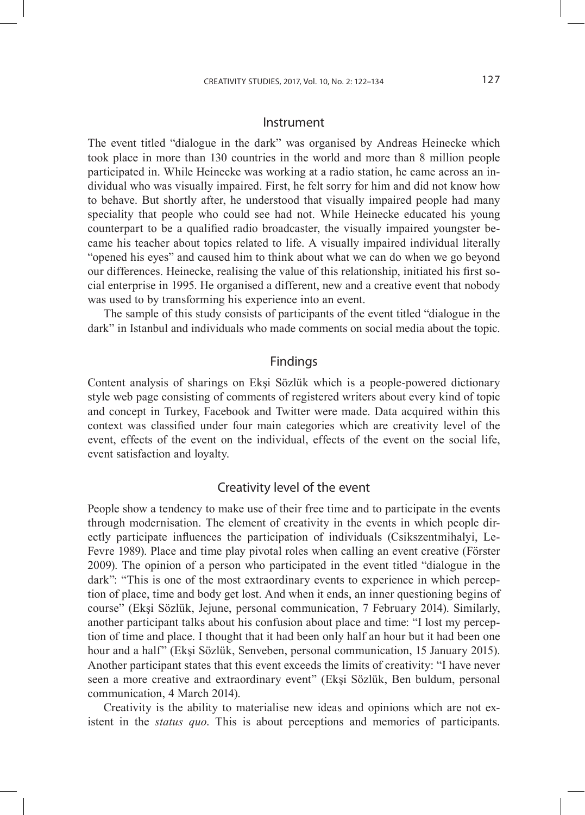#### Instrument

The event titled "dialogue in the dark" was organised by Andreas Heinecke which took place in more than 130 countries in the world and more than 8 million people participated in. While Heinecke was working at a radio station, he came across an individual who was visually impaired. First, he felt sorry for him and did not know how to behave. But shortly after, he understood that visually impaired people had many speciality that people who could see had not. While Heinecke educated his young counterpart to be a qualified radio broadcaster, the visually impaired youngster became his teacher about topics related to life. A visually impaired individual literally "opened his eyes" and caused him to think about what we can do when we go beyond our differences. Heinecke, realising the value of this relationship, initiated his first social enterprise in 1995. He organised a different, new and a creative event that nobody was used to by transforming his experience into an event.

The sample of this study consists of participants of the event titled "dialogue in the dark" in Istanbul and individuals who made comments on social media about the topic.

## Findings

Content analysis of sharings on Ekşi Sözlük which is a people-powered dictionary style web page consisting of comments of registered writers about every kind of topic and concept in Turkey, Facebook and Twitter were made. Data acquired within this context was classified under four main categories which are creativity level of the event, effects of the event on the individual, effects of the event on the social life, event satisfaction and loyalty.

# Creativity level of the event

People show a tendency to make use of their free time and to participate in the events through modernisation. The element of creativity in the events in which people directly participate influences the participation of individuals (Csikszentmihalyi, Le-Fevre 1989). Place and time play pivotal roles when calling an event creative (Förster 2009). The opinion of a person who participated in the event titled "dialogue in the dark": "This is one of the most extraordinary events to experience in which perception of place, time and body get lost. And when it ends, an inner questioning begins of course" (Ekşi Sözlük, Jejune, personal communication, 7 February 2014). Similarly, another participant talks about his confusion about place and time: "I lost my perception of time and place. I thought that it had been only half an hour but it had been one hour and a half" (Ekşi Sözlük, Senveben, personal communication, 15 January 2015). Another participant states that this event exceeds the limits of creativity: "I have never seen a more creative and extraordinary event" (Ekşi Sözlük, Ben buldum, personal communication, 4 March 2014).

Creativity is the ability to materialise new ideas and opinions which are not existent in the *status quo*. This is about perceptions and memories of participants.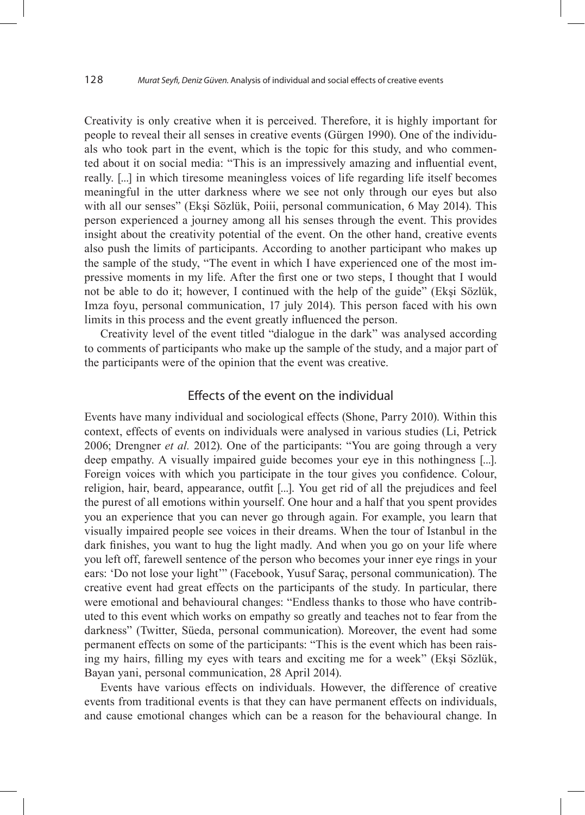Creativity is only creative when it is perceived. Therefore, it is highly important for people to reveal their all senses in creative events (Gürgen 1990). One of the individuals who took part in the event, which is the topic for this study, and who commented about it on social media: "This is an impressively amazing and influential event, really. [...] in which tiresome meaningless voices of life regarding life itself becomes meaningful in the utter darkness where we see not only through our eyes but also with all our senses" (Ekşi Sözlük, Poiii, personal communication, 6 May 2014). This person experienced a journey among all his senses through the event. This provides insight about the creativity potential of the event. On the other hand, creative events also push the limits of participants. According to another participant who makes up the sample of the study, "The event in which I have experienced one of the most impressive moments in my life. After the first one or two steps, I thought that I would not be able to do it; however, I continued with the help of the guide" (Ekşi Sözlük, Imza foyu, personal communication, 17 july 2014). This person faced with his own limits in this process and the event greatly influenced the person.

Creativity level of the event titled "dialogue in the dark" was analysed according to comments of participants who make up the sample of the study, and a major part of the participants were of the opinion that the event was creative.

## Effects of the event on the individual

Events have many individual and sociological effects (Shone, Parry 2010). Within this context, effects of events on individuals were analysed in various studies (Li, Petrick 2006; Drengner *et al.* 2012). One of the participants: "You are going through a very deep empathy. A visually impaired guide becomes your eye in this nothingness [...]. Foreign voices with which you participate in the tour gives you confidence. Colour, religion, hair, beard, appearance, outfit [...]. You get rid of all the prejudices and feel the purest of all emotions within yourself. One hour and a half that you spent provides you an experience that you can never go through again. For example, you learn that visually impaired people see voices in their dreams. When the tour of Istanbul in the dark finishes, you want to hug the light madly. And when you go on your life where you left off, farewell sentence of the person who becomes your inner eye rings in your ears: 'Do not lose your light'" (Facebook, Yusuf Saraç, personal communication). The creative event had great effects on the participants of the study. In particular, there were emotional and behavioural changes: "Endless thanks to those who have contributed to this event which works on empathy so greatly and teaches not to fear from the darkness" (Twitter, Süeda, personal communication). Moreover, the event had some permanent effects on some of the participants: "This is the event which has been raising my hairs, filling my eyes with tears and exciting me for a week" (Ekşi Sözlük, Bayan yani, personal communication, 28 April 2014).

Events have various effects on individuals. However, the difference of creative events from traditional events is that they can have permanent effects on individuals, and cause emotional changes which can be a reason for the behavioural change. In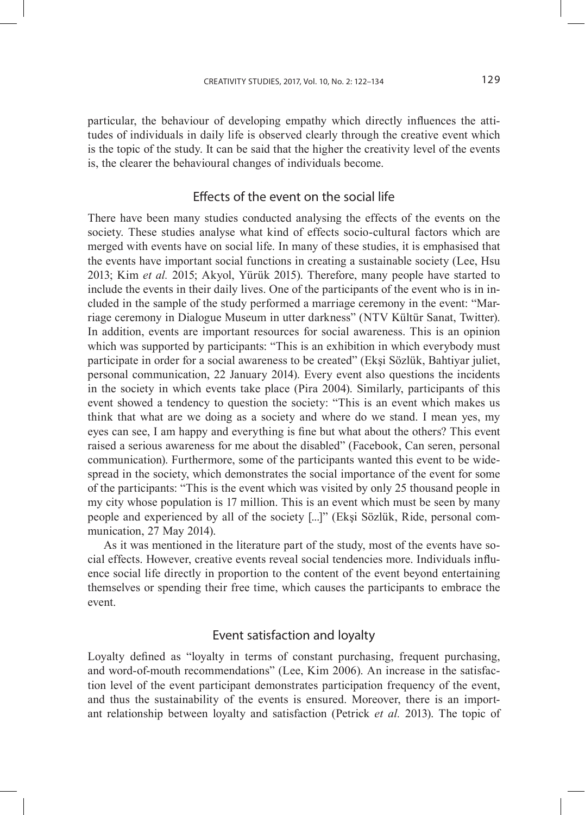particular, the behaviour of developing empathy which directly influences the attitudes of individuals in daily life is observed clearly through the creative event which is the topic of the study. It can be said that the higher the creativity level of the events is, the clearer the behavioural changes of individuals become.

## Effects of the event on the social life

There have been many studies conducted analysing the effects of the events on the society. These studies analyse what kind of effects socio-cultural factors which are merged with events have on social life. In many of these studies, it is emphasised that the events have important social functions in creating a sustainable society (Lee, Hsu 2013; Kim *et al.* 2015; Akyol, Yürük 2015). Therefore, many people have started to include the events in their daily lives. One of the participants of the event who is in included in the sample of the study performed a marriage ceremony in the event: "Marriage ceremony in Dialogue Museum in utter darkness" (NTV Kültür Sanat, Twitter). In addition, events are important resources for social awareness. This is an opinion which was supported by participants: "This is an exhibition in which everybody must participate in order for a social awareness to be created" (Ekşi Sözlük, Bahtiyar juliet, personal communication, 22 January 2014). Every event also questions the incidents in the society in which events take place (Pira 2004). Similarly, participants of this event showed a tendency to question the society: "This is an event which makes us think that what are we doing as a society and where do we stand. I mean yes, my eyes can see, I am happy and everything is fine but what about the others? This event raised a serious awareness for me about the disabled" (Facebook, Can seren, personal communication). Furthermore, some of the participants wanted this event to be widespread in the society, which demonstrates the social importance of the event for some of the participants: "This is the event which was visited by only 25 thousand people in my city whose population is 17 million. This is an event which must be seen by many people and experienced by all of the society [...]" (Ekşi Sözlük, Ride, personal communication, 27 May 2014).

As it was mentioned in the literature part of the study, most of the events have social effects. However, creative events reveal social tendencies more. Individuals influence social life directly in proportion to the content of the event beyond entertaining themselves or spending their free time, which causes the participants to embrace the event.

# Event satisfaction and loyalty

Loyalty defined as "loyalty in terms of constant purchasing, frequent purchasing, and word-of-mouth recommendations" (Lee, Kim 2006). An increase in the satisfaction level of the event participant demonstrates participation frequency of the event, and thus the sustainability of the events is ensured. Moreover, there is an important relationship between loyalty and satisfaction (Petrick *et al.* 2013). The topic of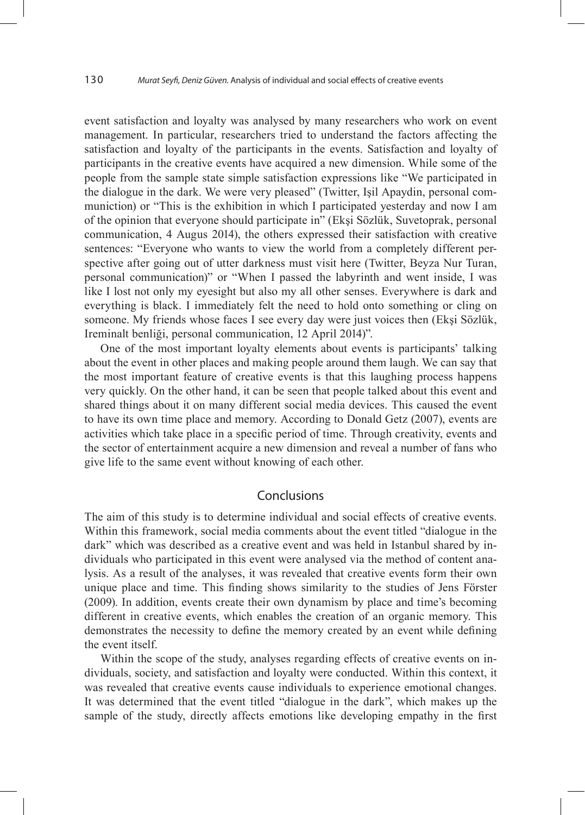event satisfaction and loyalty was analysed by many researchers who work on event management. In particular, researchers tried to understand the factors affecting the satisfaction and loyalty of the participants in the events. Satisfaction and loyalty of participants in the creative events have acquired a new dimension. While some of the people from the sample state simple satisfaction expressions like "We participated in the dialogue in the dark. We were very pleased" (Twitter, Işil Apaydin, personal communiction) or "This is the exhibition in which I participated yesterday and now I am of the opinion that everyone should participate in" (Ekşi Sözlük, Suvetoprak, personal communication, 4 Augus 2014), the others expressed their satisfaction with creative sentences: "Everyone who wants to view the world from a completely different perspective after going out of utter darkness must visit here (Twitter, Beyza Nur Turan, personal communication)" or "When I passed the labyrinth and went inside, I was like I lost not only my eyesight but also my all other senses. Everywhere is dark and everything is black. I immediately felt the need to hold onto something or cling on someone. My friends whose faces I see every day were just voices then (Ekşi Sözlük, Ireminalt benliği, personal communication, 12 April 2014)".

One of the most important loyalty elements about events is participants' talking about the event in other places and making people around them laugh. We can say that the most important feature of creative events is that this laughing process happens very quickly. On the other hand, it can be seen that people talked about this event and shared things about it on many different social media devices. This caused the event to have its own time place and memory. According to Donald Getz (2007), events are activities which take place in a specific period of time. Through creativity, events and the sector of entertainment acquire a new dimension and reveal a number of fans who give life to the same event without knowing of each other.

## Conclusions

The aim of this study is to determine individual and social effects of creative events. Within this framework, social media comments about the event titled "dialogue in the dark" which was described as a creative event and was held in Istanbul shared by individuals who participated in this event were analysed via the method of content analysis. As a result of the analyses, it was revealed that creative events form their own unique place and time. This finding shows similarity to the studies of Jens Förster (2009). In addition, events create their own dynamism by place and time's becoming different in creative events, which enables the creation of an organic memory. This demonstrates the necessity to define the memory created by an event while defining the event itself.

Within the scope of the study, analyses regarding effects of creative events on individuals, society, and satisfaction and loyalty were conducted. Within this context, it was revealed that creative events cause individuals to experience emotional changes. It was determined that the event titled "dialogue in the dark", which makes up the sample of the study, directly affects emotions like developing empathy in the first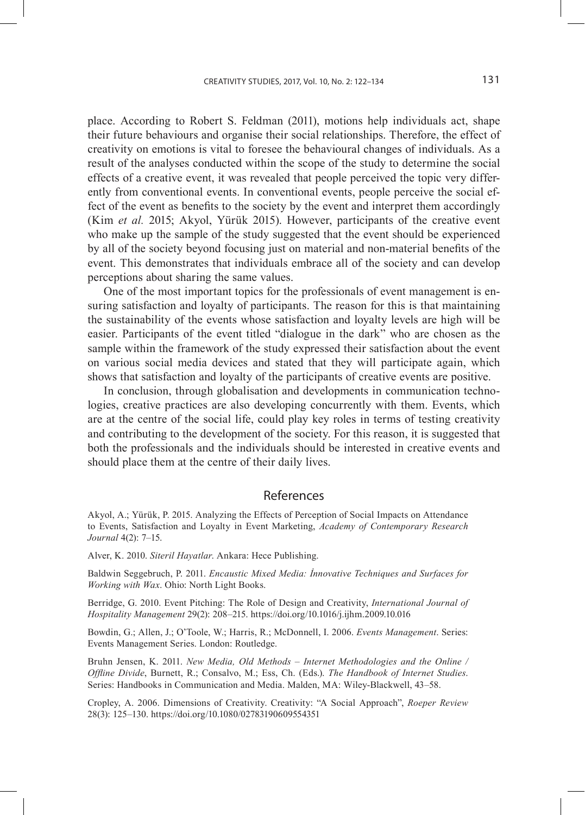place. According to Robert S. Feldman (2011), motions help individuals act, shape their future behaviours and organise their social relationships. Therefore, the effect of creativity on emotions is vital to foresee the behavioural changes of individuals. As a result of the analyses conducted within the scope of the study to determine the social effects of a creative event, it was revealed that people perceived the topic very differently from conventional events. In conventional events, people perceive the social effect of the event as benefits to the society by the event and interpret them accordingly (Kim *et al.* 2015; Akyol, Yürük 2015). However, participants of the creative event who make up the sample of the study suggested that the event should be experienced by all of the society beyond focusing just on material and non-material benefits of the event. This demonstrates that individuals embrace all of the society and can develop perceptions about sharing the same values.

One of the most important topics for the professionals of event management is ensuring satisfaction and loyalty of participants. The reason for this is that maintaining the sustainability of the events whose satisfaction and loyalty levels are high will be easier. Participants of the event titled "dialogue in the dark" who are chosen as the sample within the framework of the study expressed their satisfaction about the event on various social media devices and stated that they will participate again, which shows that satisfaction and loyalty of the participants of creative events are positive.

In conclusion, through globalisation and developments in communication technologies, creative practices are also developing concurrently with them. Events, which are at the centre of the social life, could play key roles in terms of testing creativity and contributing to the development of the society. For this reason, it is suggested that both the professionals and the individuals should be interested in creative events and should place them at the centre of their daily lives.

## References

Akyol, A.; Yürük, P. 2015. Analyzing the Effects of Perception of Social Impacts on Attendance to Events, Satisfaction and Loyalty in Event Marketing, *Academy of Contemporary Research Journal* 4(2): 7–15.

Alver, K. 2010. *Siteril Hayatlar*. Ankara: Hece Publishing.

Baldwin Seggebruch, P. 2011. *Encaustic Mixed Media: İnnovative Techniques and Surfaces for Working with Wax*. Ohio: North Light Books.

Berridge, G. 2010. Event Pitching: The Role of Design and Creativity, *International Journal of Hospitality Management* 29(2): 208–215. https://doi.org/10.1016/j.ijhm.2009.10.016

Bowdin, G.; Allen, J.; O'Toole, W.; Harris, R.; McDonnell, I. 2006. *Events Management*. Series: Events Management Series. London: Routledge.

Bruhn Jensen, K. 2011. *New Media, Old Methods – Internet Methodologies and the Online / Offline Divide*, Burnett, R.; Consalvo, M.; Ess, Ch. (Eds.). *The Handbook of Internet Studies*. Series: Handbooks in Communication and Media. Malden, MA: Wiley-Blackwell, 43–58.

Cropley, A. 2006. Dimensions of Creativity. Creativity: "A Social Approach", *Roeper Review* 28(3): 125–130. https://doi.org/10.1080/02783190609554351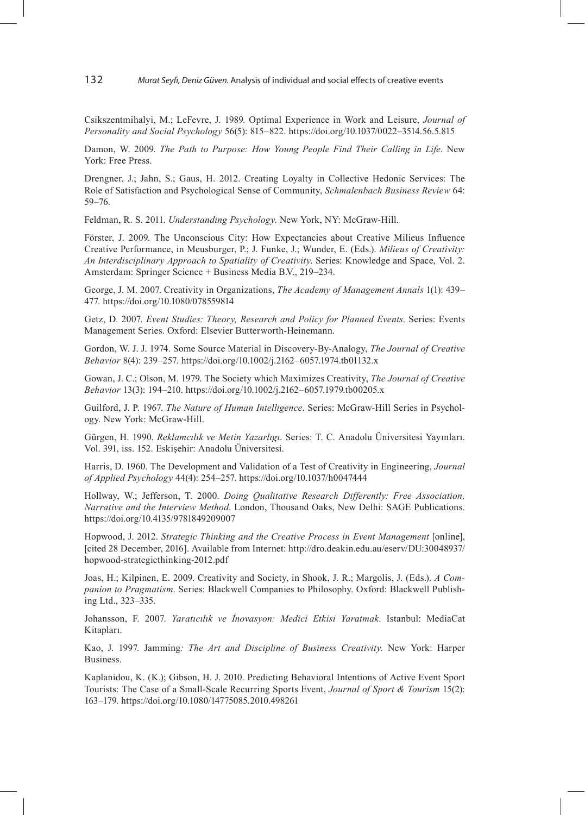Csikszentmihalyi, M.; LeFevre, J. 1989. Optimal Experience in Work and Leisure, *Journal of Personality and Social Psychology* 56(5): 815–822. https://doi.org/10.1037/0022–3514.56.5.815

Damon, W. 2009. *The Path to Purpose: How Young People Find Their Calling in Life*. New York: Free Press.

Drengner, J.; Jahn, S.; Gaus, H. 2012. Creating Loyalty in Collective Hedonic Services: The Role of Satisfaction and Psychological Sense of Community, *Schmalenbach Business Review* 64: 59–76.

Feldman, R. S. 2011. *Understanding Psychology*. New York, NY: McGraw-Hill.

Förster, J. 2009. The Unconscious City: How Expectancies about Creative Milieus Influence Creative Performance, in Meusburger, P.; J. Funke, J.; Wunder, E. (Eds.). *Milieus of Creativity: An Interdisciplinary Approach to Spatiality of Creativity*. Series: Knowledge and Space, Vol. 2. Amsterdam: Springer Science + Business Media B.V., 219–234.

George, J. M. 2007. Creativity in Organizations, *The Academy of Management Annals* 1(1): 439– 477. https://doi.org/10.1080/078559814

Getz, D. 2007. *Event Studies: Theory, Research and Policy for Planned Events*. Series: Events Management Series. Oxford: Elsevier Butterworth-Heinemann.

Gordon, W. J. J. 1974. Some Source Material in Discovery-By-Analogy, *The Journal of Creative Behavior* 8(4): 239–257. https://doi.org/10.1002/j.2162–6057.1974.tb01132.x

Gowan, J. C.; Olson, M. 1979. The Society which Maximizes Creativity, *The Journal of Creative Behavior* 13(3): 194–210. https://doi.org/10.1002/j.2162–6057.1979.tb00205.x

Guilford, J. P. 1967. *The Nature of Human Intelligence*. Series: McGraw-Hill Series in Psychology. New York: McGraw-Hill.

Gürgen, H. 1990. *Reklamcılık ve Metin Yazarlıgı*. Series: T. C. Anadolu Üniversitesi Yayınları. Vol. 391, iss. 152. Eskişehir: Anadolu Üniversitesi.

Harris, D. 1960. The Development and Validation of a Test of Creativity in Engineering, *Journal of Applied Psychology* 44(4): 254–257. https://doi.org/10.1037/h0047444

Hollway, W.; Jefferson, T. 2000. *Doing Qualitative Research Differently: Free Association, Narrative and the Interview Method*. London, Thousand Oaks, New Delhi: SAGE Publications. https://doi.org/10.4135/9781849209007

Hopwood, J. 2012. *Strategic Thinking and the Creative Process in Event Management* [online], [cited 28 December, 2016]. Available from Internet: http://dro.deakin.edu.au/eserv/DU:30048937/ hopwood-strategicthinking-2012.pdf

Joas, H.; Kilpinen, E. 2009. Creativity and Society, in Shook, J. R.; Margolis, J. (Eds.). *A Companion to Pragmatism*. Series: Blackwell Companies to Philosophy. Oxford: Blackwell Publishing Ltd., 323–335.

Johansson, F. 2007. *Yaratıcılık ve İnovasyon: Medici Etkisi Yaratmak*. Istanbul: MediaCat Kitapları.

Kao, J. 1997. Jamming*: The Art and Discipline of Business Creativity*. New York: Harper Business.

Kaplanidou, K. (K.); Gibson, H. J. 2010. Predicting Behavioral Intentions of Active Event Sport Tourists: The Case of a Small-Scale Recurring Sports Event, *Journal of Sport & Tourism* 15(2): 163–179. https://doi.org/10.1080/14775085.2010.498261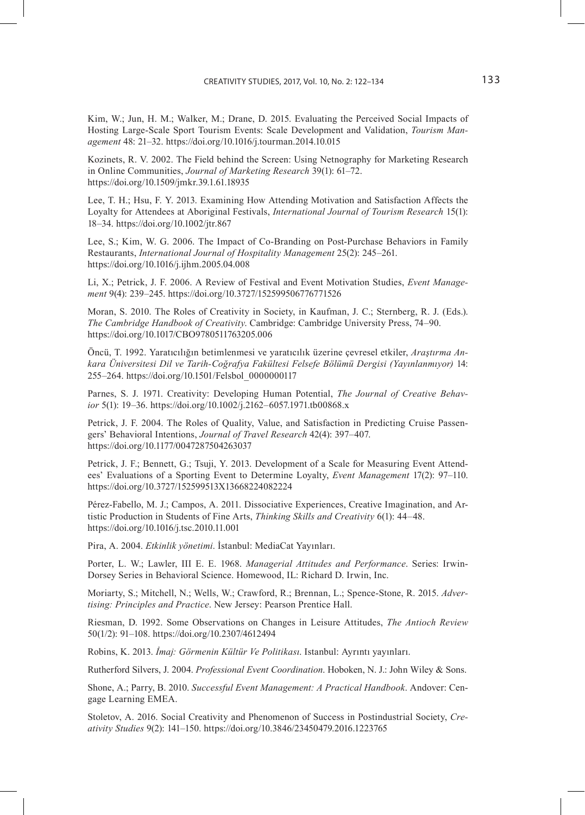Kim, W.; Jun, H. M.; Walker, M.; Drane, D. 2015. Evaluating the Perceived Social Impacts of Hosting Large-Scale Sport Tourism Events: Scale Development and Validation, *Tourism Management* 48: 21–32. https://doi.org/10.1016/j.tourman.2014.10.015

Kozinets, R. V. 2002. The Field behind the Screen: Using Netnography for Marketing Research in Online Communities, *Journal of Marketing Research* 39(1): 61–72. https://doi.org/10.1509/jmkr.39.1.61.18935

Lee, T. H.; Hsu, F. Y. 2013. Examining How Attending Motivation and Satisfaction Affects the Loyalty for Attendees at Aboriginal Festivals, *International Journal of Tourism Research* 15(1): 18–34. https://doi.org/10.1002/jtr.867

Lee, S.; Kim, W. G. 2006. The Impact of Co-Branding on Post-Purchase Behaviors in Family Restaurants, *International Journal of Hospitality Management* 25(2): 245–261. https://doi.org/10.1016/j.ijhm.2005.04.008

Li, X.; Petrick, J. F. 2006. A Review of Festival and Event Motivation Studies, *Event Management* 9(4): 239–245. https://doi.org/10.3727/152599506776771526

Moran, S. 2010. The Roles of Creativity in Society, in Kaufman, J. C.; Sternberg, R. J. (Eds.). *The Cambridge Handbook of Creativity*. Cambridge: Cambridge University Press, 74–90. https://doi.org/10.1017/CBO9780511763205.006

Öncü, T. 1992. Yaratıcılığın betimlenmesi ve yaratıcılık üzerine çevresel etkiler, *Araştırma Ankara Üniversitesi Dil ve Tarih-Coğrafya Fakültesi Felsefe Bölümü Dergisi (Yayınlanmıyor)* 14: 255–264. https://doi.org/10.1501/Felsbol\_0000000117

Parnes, S. J. 1971. Creativity: Developing Human Potential, *The Journal of Creative Behavior* 5(1): 19–36. https://doi.org/10.1002/j.2162–6057.1971.tb00868.x

Petrick, J. F. 2004. The Roles of Quality, Value, and Satisfaction in Predicting Cruise Passengers' Behavioral Intentions, *Journal of Travel Research* 42(4): 397–407. https://doi.org/10.1177/0047287504263037

Petrick, J. F.; Bennett, G.; Tsuji, Y. 2013. Development of a Scale for Measuring Event Attendees' Evaluations of a Sporting Event to Determine Loyalty, *Event Management* 17(2): 97–110. https://doi.org/10.3727/152599513X13668224082224

Pérez-Fabello, M. J.; Campos, A. 2011. Dissociative Experiences, Creative Imagination, and Artistic Production in Students of Fine Arts, *Thinking Skills and Creativity* 6(1): 44–48. https://doi.org/10.1016/j.tsc.2010.11.001

Pira, A. 2004. *Etkinlik yönetimi*. İstanbul: MediaCat Yayınları.

Porter, L. W.; Lawler, III E. E. 1968. *Managerial Attitudes and Performance*. Series: Irwin-Dorsey Series in Behavioral Science. Homewood, IL: Richard D. Irwin, Inc.

Moriarty, S.; Mitchell, N.; Wells, W.; Crawford, R.; Brennan, L.; Spence-Stone, R. 2015. *Advertising: Principles and Practice*. New Jersey: Pearson Prentice Hall.

Riesman, D. 1992. Some Observations on Changes in Leisure Attitudes, *The Antioch Review* 50(1/2): 91–108. https://doi.org/10.2307/4612494

Robins, K. 2013. *İmaj: Görmenin Kültür Ve Politikası*. Istanbul: Ayrıntı yayınları.

Rutherford Silvers, J. 2004. *Professional Event Coordination*. Hoboken, N. J.: John Wiley & Sons.

Shone, A.; Parry, B. 2010. *Successful Event Management: A Practical Handbook*. Andover: Cengage Learning EMEA.

Stoletov, A. 2016. Social Creativity and Phenomenon of Success in Postindustrial Society, *Creativity Studies* 9(2): 141–150. https://doi.org/10.3846/23450479.2016.1223765